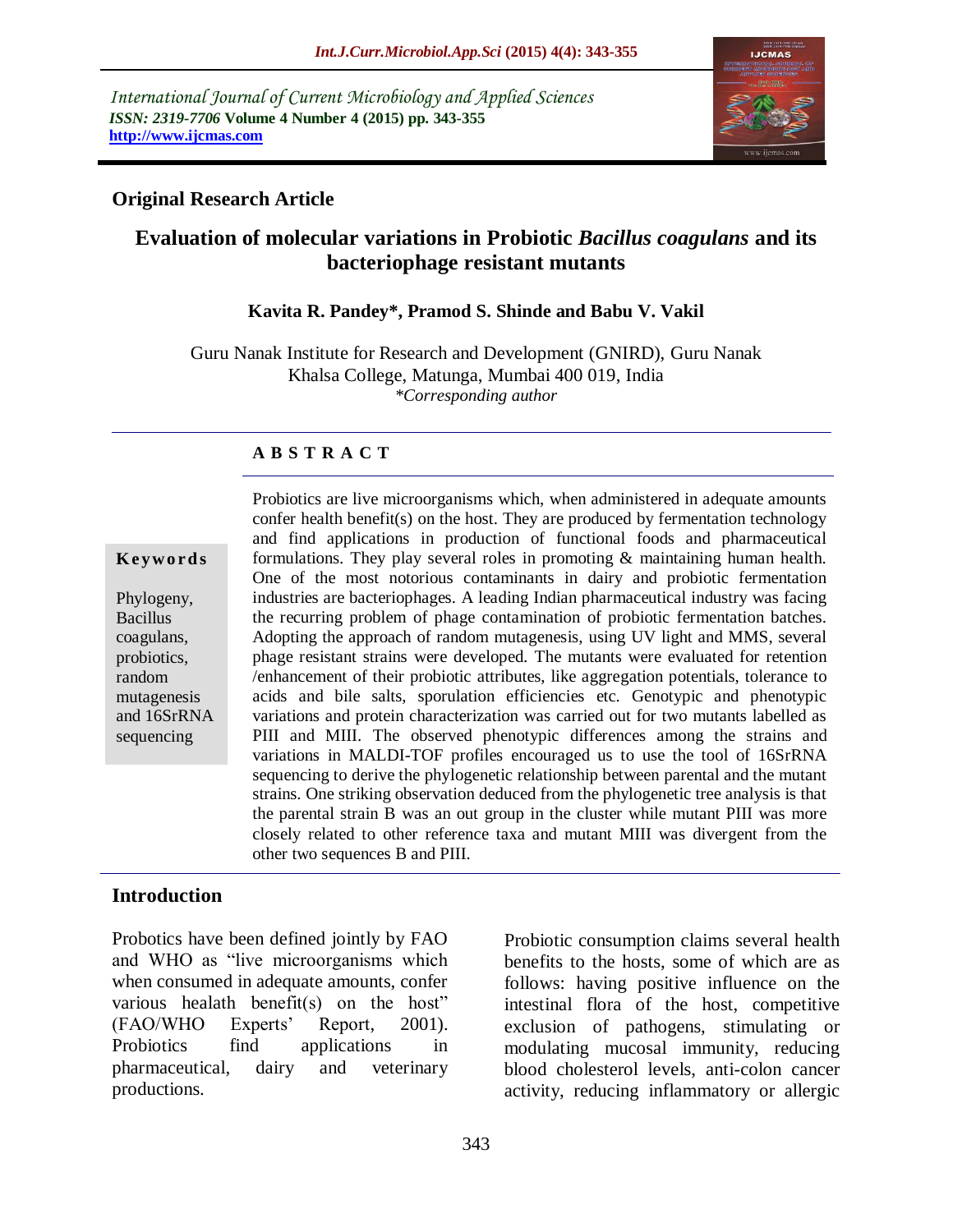*International Journal of Current Microbiology and Applied Sciences ISSN: 2319-7706* **Volume 4 Number 4 (2015) pp. 343-355 http://www.ijcmas.com** 



### **Original Research Article**

# **Evaluation of molecular variations in Probiotic** *Bacillus coagulans* **and its bacteriophage resistant mutants**

#### **Kavita R. Pandey\*, Pramod S. Shinde and Babu V. Vakil**

Guru Nanak Institute for Research and Development (GNIRD), Guru Nanak Khalsa College, Matunga, Mumbai 400 019, India *\*Corresponding author*

#### **A B S T R A C T**

#### **K ey w o rd s**

Phylogeny, Bacillus coagulans, probiotics, random mutagenesis and 16SrRNA sequencing

Probiotics are live microorganisms which, when administered in adequate amounts confer health benefit(s) on the host. They are produced by fermentation technology and find applications in production of functional foods and pharmaceutical formulations. They play several roles in promoting & maintaining human health. One of the most notorious contaminants in dairy and probiotic fermentation industries are bacteriophages. A leading Indian pharmaceutical industry was facing the recurring problem of phage contamination of probiotic fermentation batches. Adopting the approach of random mutagenesis, using UV light and MMS, several phage resistant strains were developed. The mutants were evaluated for retention /enhancement of their probiotic attributes, like aggregation potentials, tolerance to acids and bile salts, sporulation efficiencies etc. Genotypic and phenotypic variations and protein characterization was carried out for two mutants labelled as PIII and MIII. The observed phenotypic differences among the strains and variations in MALDI-TOF profiles encouraged us to use the tool of 16SrRNA sequencing to derive the phylogenetic relationship between parental and the mutant strains. One striking observation deduced from the phylogenetic tree analysis is that the parental strain B was an out group in the cluster while mutant PIII was more closely related to other reference taxa and mutant MIII was divergent from the other two sequences B and PIII.

#### **Introduction**

Probotics have been defined jointly by FAO and WHO as "live microorganisms which when consumed in adequate amounts, confer various healath benefit(s) on the host" (FAO/WHO Experts' Report, 2001). Probiotics find applications in pharmaceutical, dairy and veterinary productions.

Probiotic consumption claims several health benefits to the hosts, some of which are as follows: having positive influence on the intestinal flora of the host, competitive exclusion of pathogens, stimulating or modulating mucosal immunity, reducing blood cholesterol levels, anti-colon cancer activity, reducing inflammatory or allergic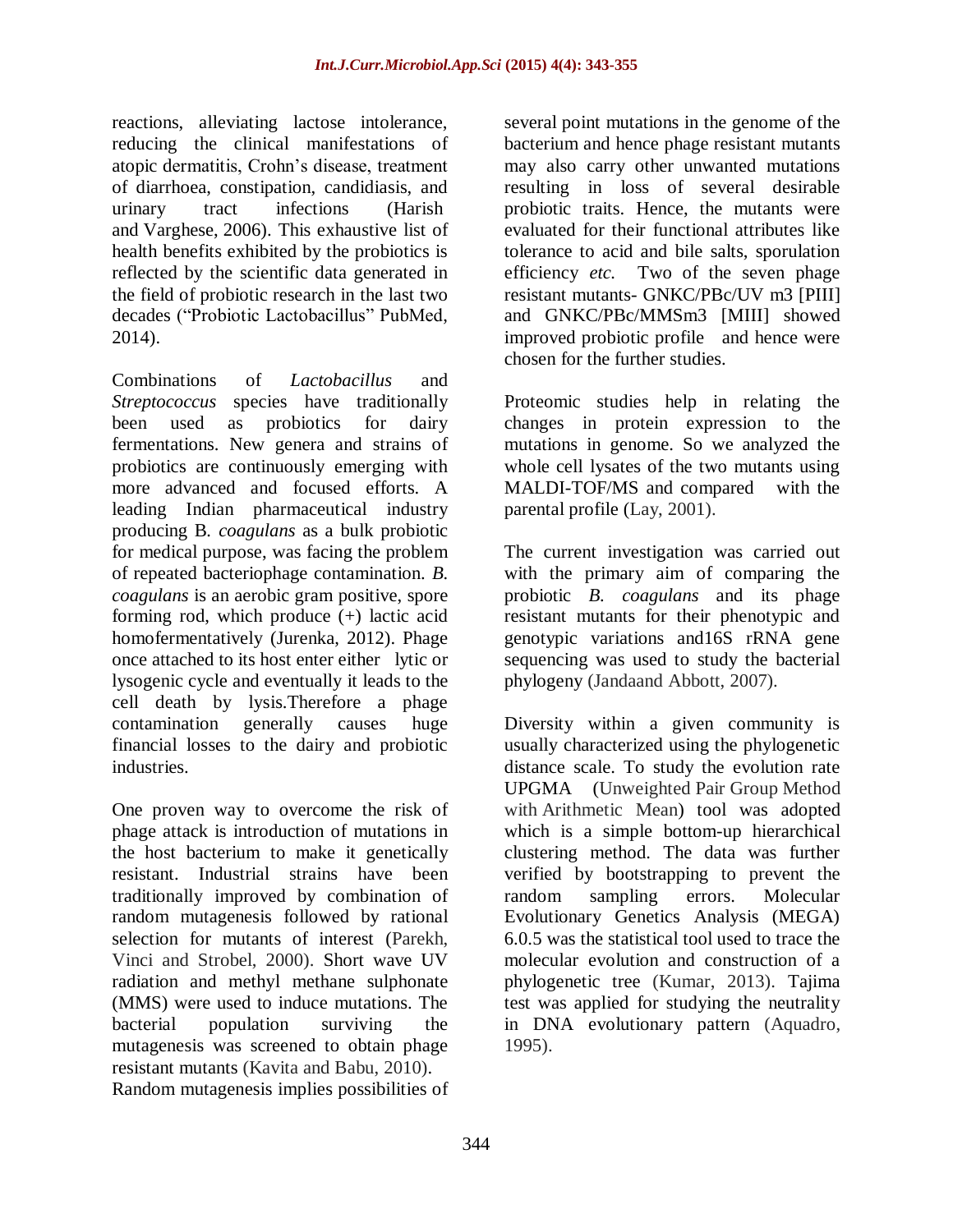reactions, alleviating lactose intolerance, reducing the clinical manifestations of atopic dermatitis, Crohn's disease, treatment of diarrhoea, constipation, candidiasis, and urinary tract infections (Harish and Varghese, 2006). This exhaustive list of health benefits exhibited by the probiotics is reflected by the scientific data generated in the field of probiotic research in the last two decades ("Probiotic Lactobacillus" PubMed, 2014).

Combinations of *Lactobacillus* and *Streptococcus* species have traditionally been used as probiotics for dairy fermentations. New genera and strains of probiotics are continuously emerging with more advanced and focused efforts. A leading Indian pharmaceutical industry producing B*. coagulans* as a bulk probiotic for medical purpose, was facing the problem of repeated bacteriophage contamination. *B. coagulans* is an aerobic gram positive, spore forming rod, which produce (+) lactic acid homofermentatively (Jurenka, 2012). Phage once attached to its host enter either lytic or lysogenic cycle and eventually it leads to the cell death by lysis.Therefore a phage contamination generally causes huge financial losses to the dairy and probiotic industries.

One proven way to overcome the risk of phage attack is introduction of mutations in the host bacterium to make it genetically resistant. Industrial strains have been traditionally improved by combination of random mutagenesis followed by rational selection for mutants of interest (Parekh, Vinci and Strobel, 2000). Short wave UV radiation and methyl methane sulphonate (MMS) were used to induce mutations. The bacterial population surviving the mutagenesis was screened to obtain phage resistant mutants (Kavita and Babu, 2010). Random mutagenesis implies possibilities of several point mutations in the genome of the bacterium and hence phage resistant mutants may also carry other unwanted mutations resulting in loss of several desirable probiotic traits. Hence, the mutants were evaluated for their functional attributes like tolerance to acid and bile salts, sporulation efficiency *etc.* Two of the seven phage resistant mutants- GNKC/PBc/UV m3 [PIII] and GNKC/PBc/MMSm3 [MIII] showed improved probiotic profile and hence were chosen for the further studies.

Proteomic studies help in relating the changes in protein expression to the mutations in genome. So we analyzed the whole cell lysates of the two mutants using MALDI-TOF/MS and compared with the parental profile (Lay, 2001).

The current investigation was carried out with the primary aim of comparing the probiotic *B. coagulans* and its phage resistant mutants for their phenotypic and genotypic variations and16S rRNA gene sequencing was used to study the bacterial phylogeny (Jandaand Abbott, 2007).

Diversity within a given community is usually characterized using the phylogenetic distance scale. To study the evolution rate UPGMA (Unweighted Pair Group Method with Arithmetic Mean) tool was adopted which is a simple bottom-up hierarchical clustering method. The data was further verified by bootstrapping to prevent the random sampling errors. Molecular Evolutionary Genetics Analysis (MEGA) 6.0.5 was the statistical tool used to trace the molecular evolution and construction of a phylogenetic tree (Kumar, 2013). Tajima test was applied for studying the neutrality in DNA evolutionary pattern (Aquadro, 1995).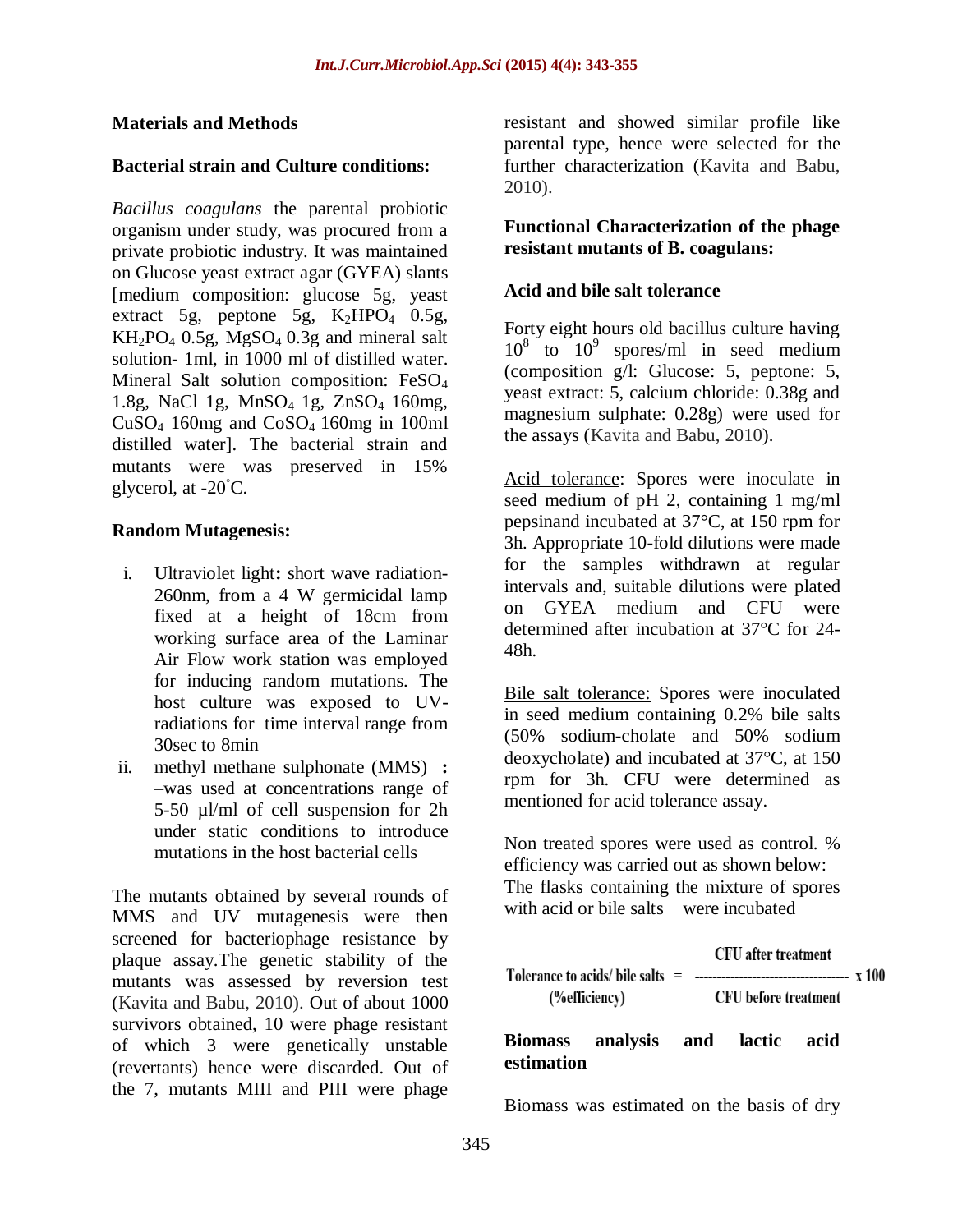#### **Materials and Methods**

#### **Bacterial strain and Culture conditions:**

*Bacillus coagulans* the parental probiotic organism under study, was procured from a private probiotic industry. It was maintained on Glucose yeast extract agar (GYEA) slants [medium composition: glucose 5g, yeast extract 5g, peptone 5g,  $K_2HPO_4$  0.5g,  $KH_2PO_4$  0.5g,  $MgSO_4$  0.3g and mineral salt solution- 1ml, in 1000 ml of distilled water. Mineral Salt solution composition: FeSO<sup>4</sup> 1.8g, NaCl 1g, MnSO4 1g, ZnSO4 160mg, CuSO<sub>4</sub> 160mg and CoSO<sub>4</sub> 160mg in 100ml distilled water]. The bacterial strain and mutants were was preserved in 15% glycerol, at -20◦C.

#### **Random Mutagenesis:**

- i. Ultraviolet light**:** short wave radiation-260nm, from a 4 W germicidal lamp fixed at a height of 18cm from working surface area of the Laminar Air Flow work station was employed for inducing random mutations. The host culture was exposed to UVradiations for time interval range from 30sec to 8min
- ii. methyl methane sulphonate (MMS) **:**  –was used at concentrations range of 5-50 µl/ml of cell suspension for 2h under static conditions to introduce mutations in the host bacterial cells

The mutants obtained by several rounds of MMS and UV mutagenesis were then screened for bacteriophage resistance by plaque assay.The genetic stability of the mutants was assessed by reversion test (Kavita and Babu, 2010). Out of about 1000 survivors obtained, 10 were phage resistant of which 3 were genetically unstable (revertants) hence were discarded. Out of the 7, mutants MIII and PIII were phage

resistant and showed similar profile like parental type, hence were selected for the further characterization (Kavita and Babu, 2010).

#### **Functional Characterization of the phage resistant mutants of B. coagulans:**

### **Acid and bile salt tolerance**

Forty eight hours old bacillus culture having  $10^8$  to  $10^9$  spores/ml in seed medium (composition g/l: Glucose: 5, peptone: 5, yeast extract: 5, calcium chloride: 0.38g and magnesium sulphate: 0.28g) were used for the assays (Kavita and Babu, 2010).

Acid tolerance: Spores were inoculate in seed medium of pH 2, containing 1 mg/ml pepsinand incubated at 37°C, at 150 rpm for 3h. Appropriate 10-fold dilutions were made for the samples withdrawn at regular intervals and, suitable dilutions were plated on GYEA medium and CFU were determined after incubation at 37°C for 24- 48h.

Bile salt tolerance: Spores were inoculated in seed medium containing 0.2% bile salts (50% sodium-cholate and 50% sodium deoxycholate) and incubated at 37°C, at 150 rpm for 3h. CFU were determined as mentioned for acid tolerance assay.

Non treated spores were used as control. % efficiency was carried out as shown below: The flasks containing the mixture of spores with acid or bile salts were incubated

| <b>CFU</b> after treatment         |                                            |  |
|------------------------------------|--------------------------------------------|--|
| Tolerance to acids/ bile salts $=$ | ------------------------------------ x 100 |  |
|                                    | <b>CFU</b> before treatment                |  |
|                                    |                                            |  |

**Biomass analysis and lactic acid estimation**

Biomass was estimated on the basis of dry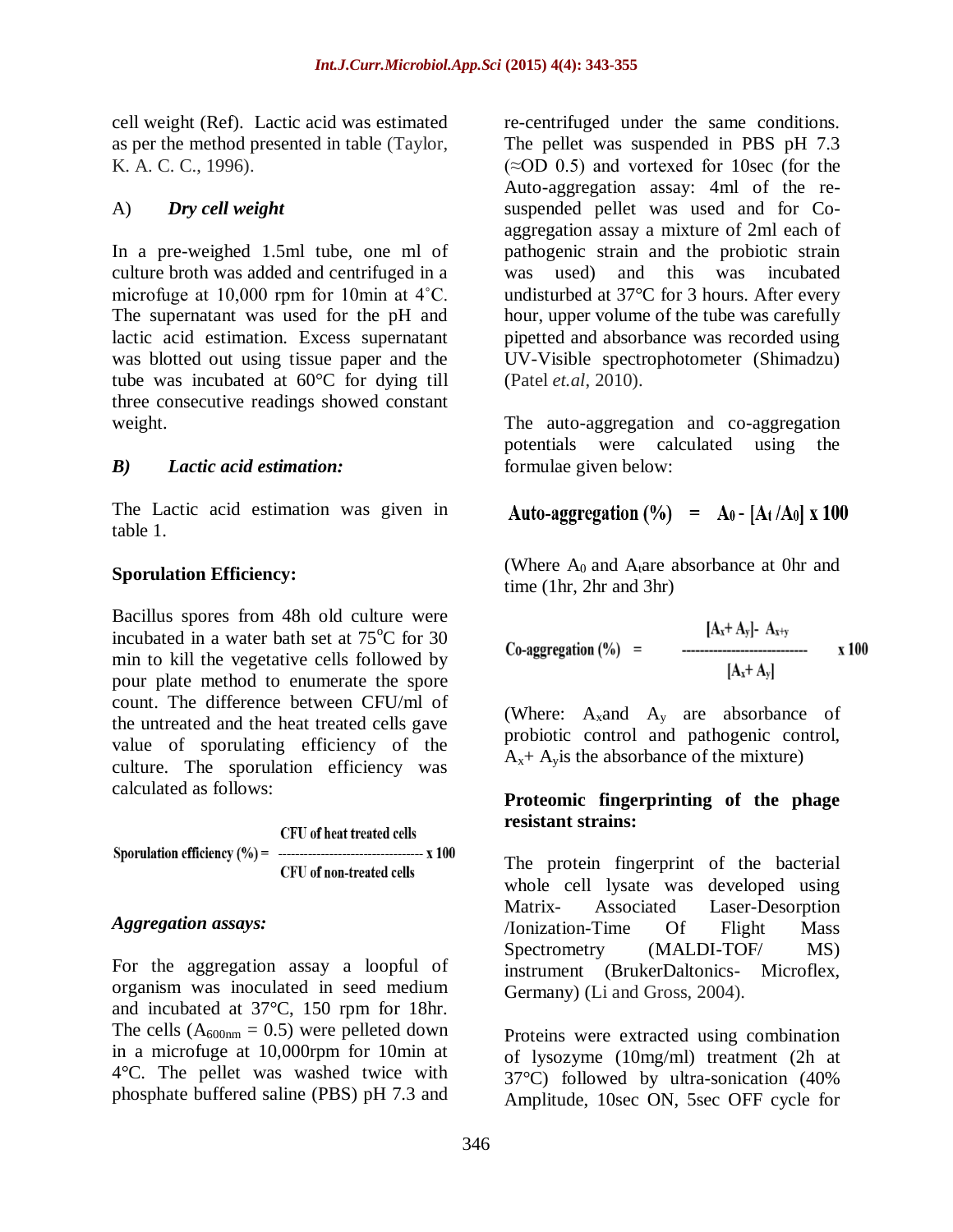cell weight (Ref). Lactic acid was estimated as per the method presented in table (Taylor, K. A. C. C., 1996).

### A) *Dry cell weight*

In a pre-weighed 1.5ml tube, one ml of culture broth was added and centrifuged in a microfuge at 10,000 rpm for 10min at 4˚C. The supernatant was used for the pH and lactic acid estimation. Excess supernatant was blotted out using tissue paper and the tube was incubated at 60°C for dying till three consecutive readings showed constant weight.

### *B) Lactic acid estimation:*

The Lactic acid estimation was given in table 1.

# **Sporulation Efficiency:**

Bacillus spores from 48h old culture were incubated in a water bath set at  $75^{\circ}$ C for 30 min to kill the vegetative cells followed by pour plate method to enumerate the spore count. The difference between CFU/ml of the untreated and the heat treated cells gave value of sporulating efficiency of the culture. The sporulation efficiency was calculated as follows:

**CFU** of heat treated cells CFU of non-treated cells

# *Aggregation assays:*

For the aggregation assay a loopful of organism was inoculated in seed medium and incubated at 37°C, 150 rpm for 18hr. The cells  $(A_{600nm} = 0.5)$  were pelleted down in a microfuge at 10,000rpm for 10min at 4°C. The pellet was washed twice with phosphate buffered saline (PBS) pH 7.3 and

re-centrifuged under the same conditions. The pellet was suspended in PBS pH 7.3  $(\approx]$ OD 0.5) and vortexed for 10sec (for the Auto-aggregation assay: 4ml of the resuspended pellet was used and for Coaggregation assay a mixture of 2ml each of pathogenic strain and the probiotic strain was used) and this was incubated undisturbed at 37°C for 3 hours. After every hour, upper volume of the tube was carefully pipetted and absorbance was recorded using UV-Visible spectrophotometer (Shimadzu) (Patel *et.al*, 2010).

The auto-aggregation and co-aggregation potentials were calculated using the formulae given below:

$$
Auto-aggregation (%) = A_0 - [At/A_0] x 100
$$

(Where  $A_0$  and  $A_1$  are absorbance at 0hr and time (1hr, 2hr and 3hr)

Co-aggregation (%) =  $[A_x + A_y] - A_{x+y}$ <br> $[A_x + A_y]$ x 100

(Where:  $A_x$  and  $A_y$  are absorbance of probiotic control and pathogenic control,  $A<sub>x</sub> + A<sub>y</sub>$  is the absorbance of the mixture)

### **Proteomic fingerprinting of the phage resistant strains:**

The protein fingerprint of the bacterial whole cell lysate was developed using Matrix- Associated Laser-Desorption /Ionization-Time Of Flight Mass Spectrometry (MALDI-TOF/ MS) instrument (BrukerDaltonics- Microflex, Germany) (Li and Gross, 2004).

Proteins were extracted using combination of lysozyme (10mg/ml) treatment (2h at 37°C) followed by ultra-sonication (40% Amplitude, 10sec ON, 5sec OFF cycle for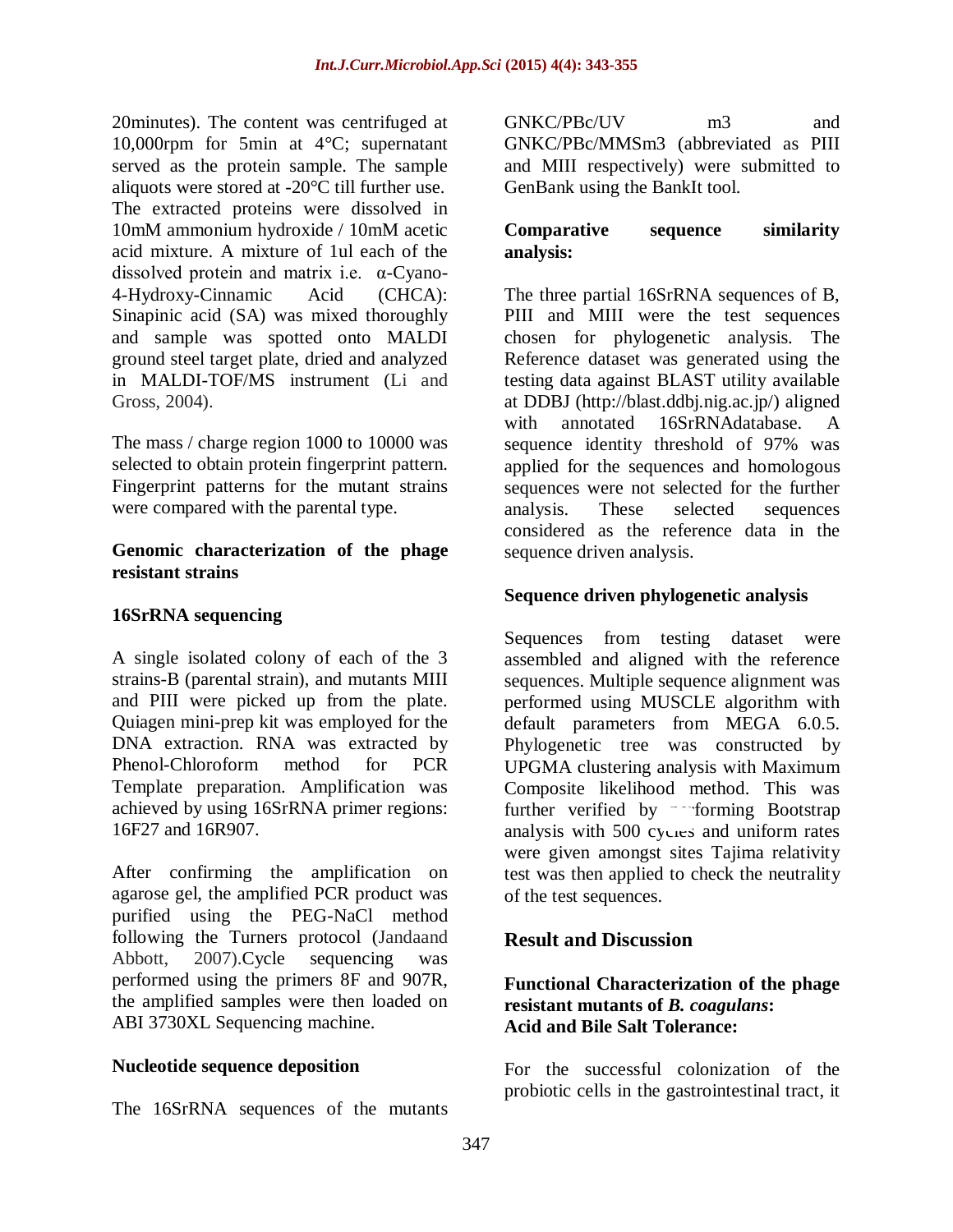20minutes). The content was centrifuged at 10,000rpm for 5min at 4°C; supernatant served as the protein sample. The sample aliquots were stored at -20°C till further use. The extracted proteins were dissolved in 10mM ammonium hydroxide / 10mM acetic acid mixture. A mixture of 1ul each of the dissolved protein and matrix i.e. α-Cyano-4-Hydroxy-Cinnamic Acid (CHCA): Sinapinic acid (SA) was mixed thoroughly and sample was spotted onto MALDI ground steel target plate, dried and analyzed in MALDI-TOF/MS instrument (Li and Gross, 2004).

The mass / charge region 1000 to 10000 was selected to obtain protein fingerprint pattern. Fingerprint patterns for the mutant strains were compared with the parental type.

#### **Genomic characterization of the phage resistant strains**

### **16SrRNA sequencing**

A single isolated colony of each of the 3 strains-B (parental strain), and mutants MIII and PIII were picked up from the plate. Quiagen mini-prep kit was employed for the DNA extraction. RNA was extracted by Phenol-Chloroform method for PCR Template preparation. Amplification was achieved by using 16SrRNA primer regions: 16F27 and 16R907.

After confirming the amplification on agarose gel, the amplified PCR product was purified using the PEG-NaCl method following the Turners protocol (Jandaand Abbott, 2007).Cycle sequencing was performed using the primers 8F and 907R, the amplified samples were then loaded on ABI 3730XL Sequencing machine.

### **Nucleotide sequence deposition**

The 16SrRNA sequences of the mutants

GNKC/PBc/UV m3 and GNKC/PBc/MMSm3 (abbreviated as PIII and MIII respectively) were submitted to GenBank using the BankIt tool.

### **Comparative sequence similarity analysis:**

The three partial 16SrRNA sequences of B, PIII and MIII were the test sequences chosen for phylogenetic analysis. The Reference dataset was generated using the testing data against BLAST utility available at DDBJ [\(http://blast.ddbj.nig.ac.jp/\)](http://blast.ddbj.nig.ac.jp/) aligned with annotated 16SrRNAdatabase. A sequence identity threshold of 97% was applied for the sequences and homologous sequences were not selected for the further analysis. These selected sequences considered as the reference data in the sequence driven analysis.

### **Sequence driven phylogenetic analysis**

Sequences from testing dataset were assembled and aligned with the reference sequences. Multiple sequence alignment was performed using MUSCLE algorithm with default parameters from MEGA 6.0.5. Phylogenetic tree was constructed by UPGMA clustering analysis with Maximum Composite likelihood method. This was further verified by performing Bootstrap analysis with 500 cycles and uniform rates were given amongst sites Tajima relativity test was then applied to check the neutrality of the test sequences.

# **Result and Discussion**

### **Functional Characterization of the phage resistant mutants of** *B. coagulans***: Acid and Bile Salt Tolerance:**

For the successful colonization of the probiotic cells in the gastrointestinal tract, it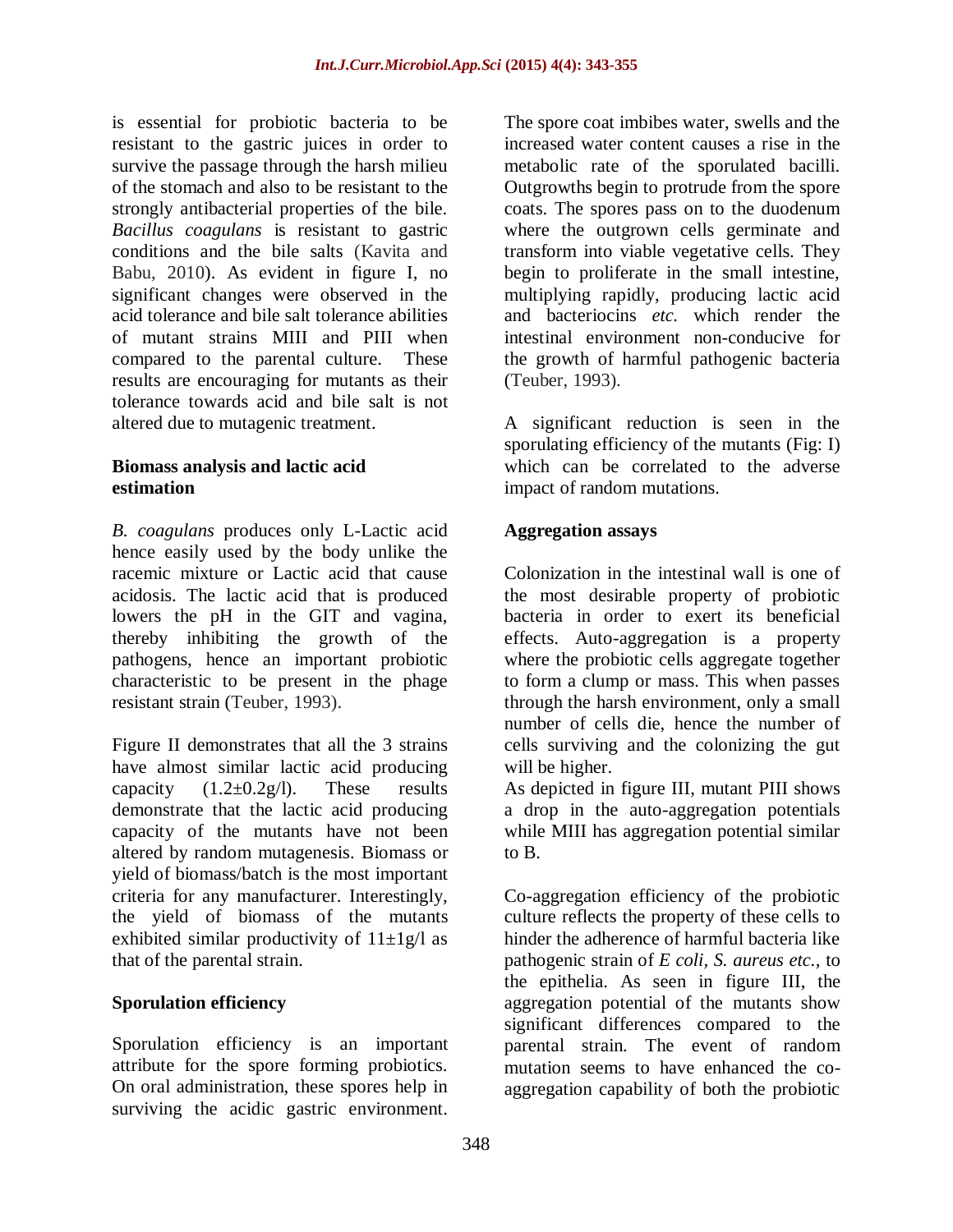is essential for probiotic bacteria to be resistant to the gastric juices in order to survive the passage through the harsh milieu of the stomach and also to be resistant to the strongly antibacterial properties of the bile. *Bacillus coagulans* is resistant to gastric conditions and the bile salts (Kavita and Babu, 2010). As evident in figure I, no significant changes were observed in the acid tolerance and bile salt tolerance abilities of mutant strains MIII and PIII when compared to the parental culture. These results are encouraging for mutants as their tolerance towards acid and bile salt is not altered due to mutagenic treatment.

#### **Biomass analysis and lactic acid estimation**

*B. coagulans* produces only L-Lactic acid hence easily used by the body unlike the racemic mixture or Lactic acid that cause acidosis. The lactic acid that is produced lowers the pH in the GIT and vagina, thereby inhibiting the growth of the pathogens, hence an important probiotic characteristic to be present in the phage resistant strain (Teuber, 1993).

Figure II demonstrates that all the 3 strains have almost similar lactic acid producing capacity  $(1.2\pm 0.2g/l)$ . These results demonstrate that the lactic acid producing capacity of the mutants have not been altered by random mutagenesis. Biomass or yield of biomass/batch is the most important criteria for any manufacturer. Interestingly, the yield of biomass of the mutants exhibited similar productivity of  $11 \pm 1$ g/l as that of the parental strain.

# **Sporulation efficiency**

Sporulation efficiency is an important attribute for the spore forming probiotics. On oral administration, these spores help in surviving the acidic gastric environment.

The spore coat imbibes water, swells and the increased water content causes a rise in the metabolic rate of the sporulated bacilli. Outgrowths begin to protrude from the spore coats. The spores pass on to the duodenum where the outgrown cells germinate and transform into viable vegetative cells. They begin to proliferate in the small intestine, multiplying rapidly, producing lactic acid and bacteriocins *etc.* which render the intestinal environment non-conducive for the growth of harmful pathogenic bacteria (Teuber, 1993).

A significant reduction is seen in the sporulating efficiency of the mutants (Fig: I) which can be correlated to the adverse impact of random mutations.

### **Aggregation assays**

Colonization in the intestinal wall is one of the most desirable property of probiotic bacteria in order to exert its beneficial effects. Auto-aggregation is a property where the probiotic cells aggregate together to form a clump or mass. This when passes through the harsh environment, only a small number of cells die, hence the number of cells surviving and the colonizing the gut will be higher.

As depicted in figure III, mutant PIII shows a drop in the auto-aggregation potentials while MIII has aggregation potential similar to B.

Co-aggregation efficiency of the probiotic culture reflects the property of these cells to hinder the adherence of harmful bacteria like pathogenic strain of *E coli, S. aureus etc.,* to the epithelia. As seen in figure III, the aggregation potential of the mutants show significant differences compared to the parental strain. The event of random mutation seems to have enhanced the coaggregation capability of both the probiotic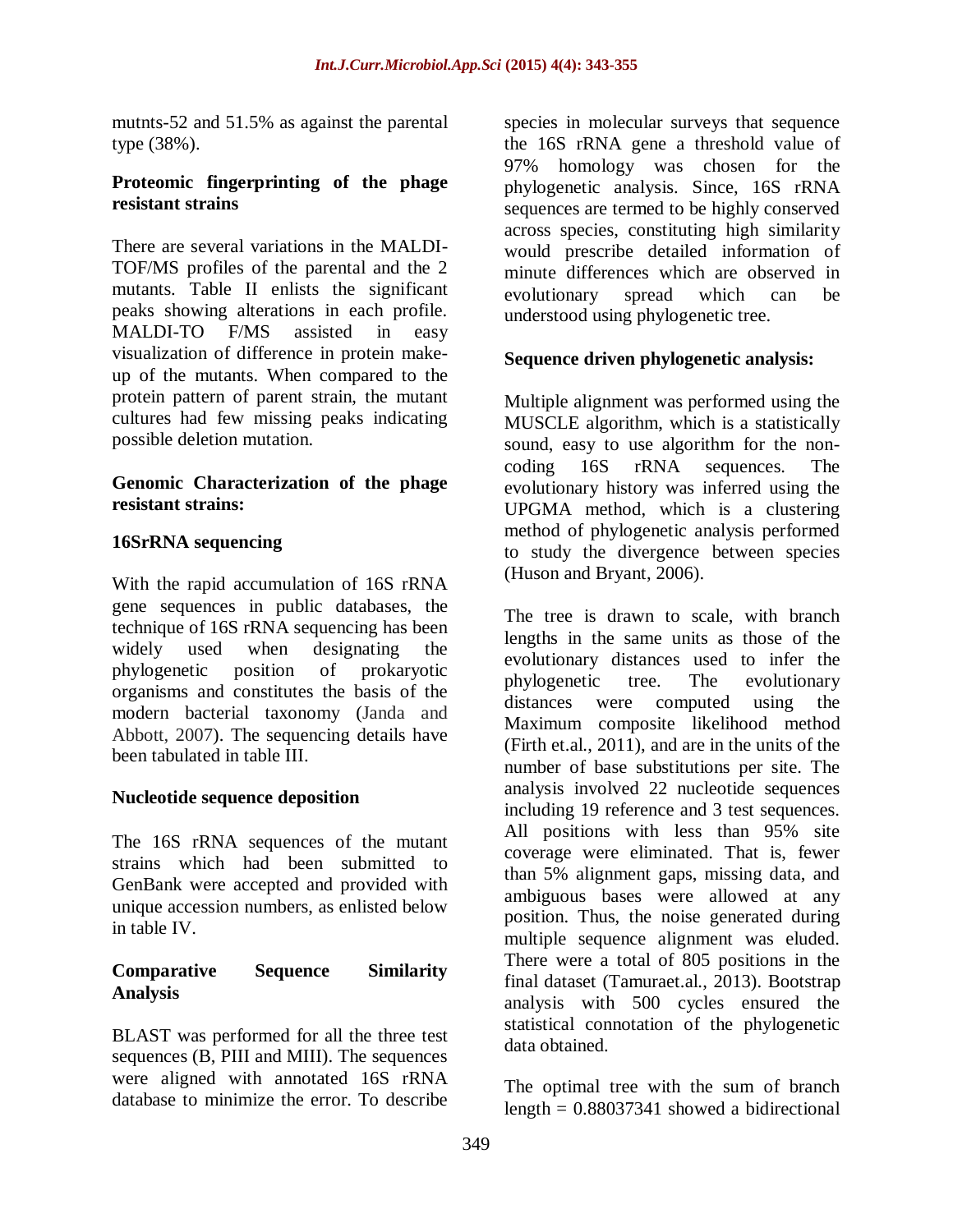mutnts-52 and 51.5% as against the parental type (38%).

### **Proteomic fingerprinting of the phage resistant strains**

There are several variations in the MALDI-TOF/MS profiles of the parental and the 2 mutants. Table II enlists the significant peaks showing alterations in each profile. MALDI-TO F/MS assisted in easy visualization of difference in protein makeup of the mutants. When compared to the protein pattern of parent strain, the mutant cultures had few missing peaks indicating possible deletion mutation.

### **Genomic Characterization of the phage resistant strains:**

### **16SrRNA sequencing**

With the rapid accumulation of 16S rRNA gene sequences in public databases, the technique of 16S rRNA sequencing has been widely used when designating the phylogenetic position of prokaryotic organisms and constitutes the basis of the modern bacterial taxonomy (Janda and Abbott, 2007). The sequencing details have been tabulated in table III.

### **Nucleotide sequence deposition**

The 16S rRNA sequences of the mutant strains which had been submitted to GenBank were accepted and provided with unique accession numbers, as enlisted below in table IV.

### **Comparative Sequence Similarity Analysis**

BLAST was performed for all the three test sequences (B, PIII and MIII). The sequences were aligned with annotated 16S rRNA database to minimize the error. To describe

species in molecular surveys that sequence the 16S rRNA gene a threshold value of 97% homology was chosen for the phylogenetic analysis. Since, 16S rRNA sequences are termed to be highly conserved across species, constituting high similarity would prescribe detailed information of minute differences which are observed in evolutionary spread which can be understood using phylogenetic tree.

### **Sequence driven phylogenetic analysis:**

Multiple alignment was performed using the MUSCLE algorithm, which is a statistically sound, easy to use algorithm for the noncoding 16S rRNA sequences. The evolutionary history was inferred using the UPGMA method, which is a clustering method of phylogenetic analysis performed to study the divergence between species (Huson and Bryant, 2006).

The tree is drawn to scale, with branch lengths in the same units as those of the evolutionary distances used to infer the phylogenetic tree. The evolutionary distances were computed using the Maximum composite likelihood method (Firth et.al., 2011), and are in the units of the number of base substitutions per site. The analysis involved 22 nucleotide sequences including 19 reference and 3 test sequences. All positions with less than 95% site coverage were eliminated. That is, fewer than 5% alignment gaps, missing data, and ambiguous bases were allowed at any position. Thus, the noise generated during multiple sequence alignment was eluded. There were a total of 805 positions in the final dataset (Tamuraet.al., 2013). Bootstrap analysis with 500 cycles ensured the statistical connotation of the phylogenetic data obtained.

The optimal tree with the sum of branch length  $= 0.88037341$  showed a bidirectional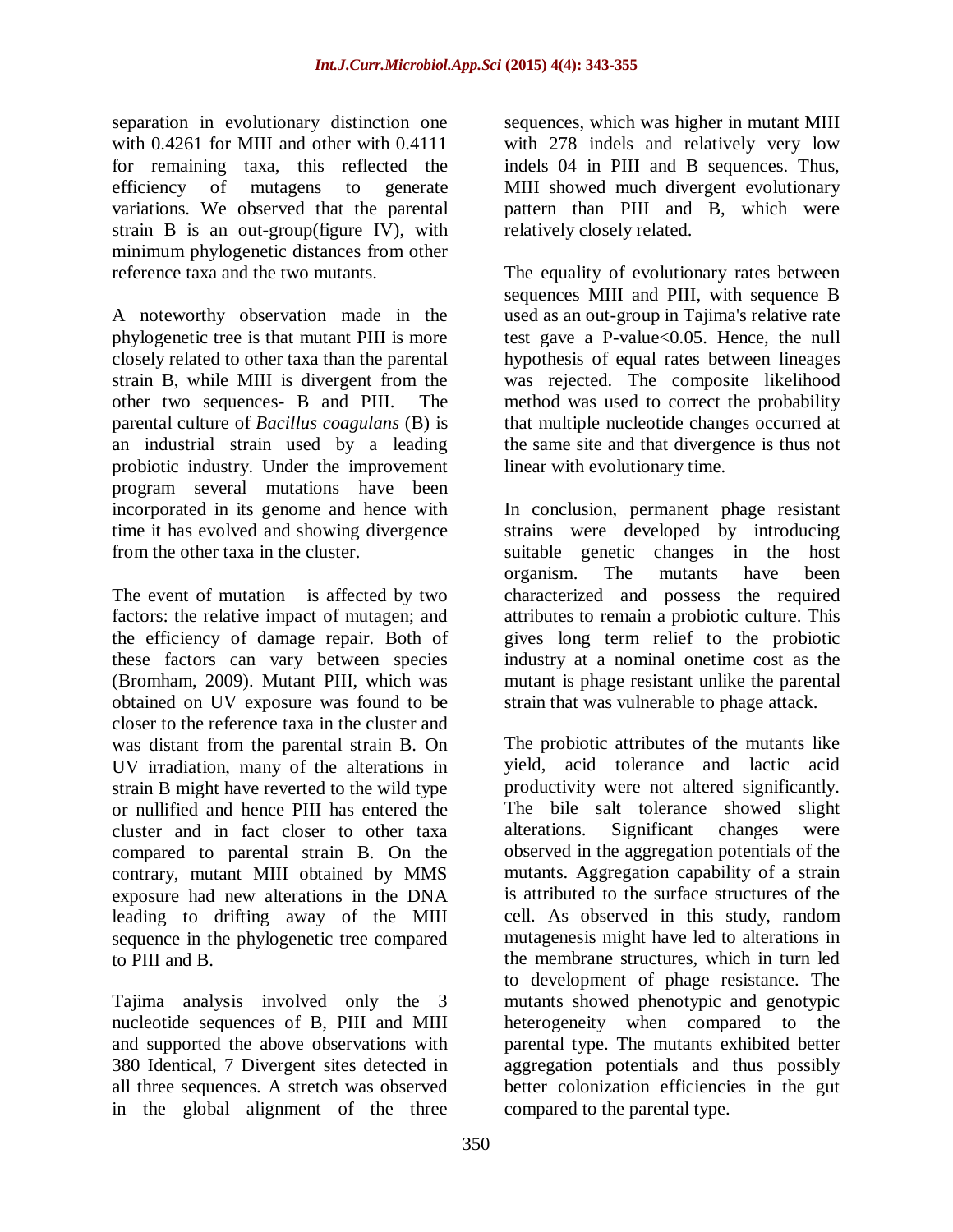separation in evolutionary distinction one with 0.4261 for MIII and other with 0.4111 for remaining taxa, this reflected the efficiency of mutagens to generate variations. We observed that the parental strain B is an out-group(figure IV), with minimum phylogenetic distances from other reference taxa and the two mutants.

A noteworthy observation made in the phylogenetic tree is that mutant PIII is more closely related to other taxa than the parental strain B, while MIII is divergent from the other two sequences- B and PIII. The parental culture of *Bacillus coagulans* (B) is an industrial strain used by a leading probiotic industry. Under the improvement program several mutations have been incorporated in its genome and hence with time it has evolved and showing divergence from the other taxa in the cluster.

The event of mutation is affected by two factors: the relative impact of mutagen; and the efficiency of damage repair. Both of these factors can vary between species (Bromham, 2009). Mutant PIII, which was obtained on UV exposure was found to be closer to the reference taxa in the cluster and was distant from the parental strain B. On UV irradiation, many of the alterations in strain B might have reverted to the wild type or nullified and hence PIII has entered the cluster and in fact closer to other taxa compared to parental strain B. On the contrary, mutant MIII obtained by MMS exposure had new alterations in the DNA leading to drifting away of the MIII sequence in the phylogenetic tree compared to PIII and B.

Tajima analysis involved only the 3 nucleotide sequences of B, PIII and MIII and supported the above observations with 380 Identical, 7 Divergent sites detected in all three sequences. A stretch was observed in the global alignment of the three

sequences, which was higher in mutant MIII with 278 indels and relatively very low indels 04 in PIII and B sequences. Thus, MIII showed much divergent evolutionary pattern than PIII and B, which were relatively closely related.

The equality of evolutionary rates between sequences MIII and PIII, with sequence B used as an out-group in Tajima's relative rate test gave a P-value<0.05. Hence, the null hypothesis of equal rates between lineages was rejected. The composite likelihood method was used to correct the probability that multiple nucleotide changes occurred at the same site and that divergence is thus not linear with evolutionary time.

In conclusion, permanent phage resistant strains were developed by introducing suitable genetic changes in the host organism. The mutants have been characterized and possess the required attributes to remain a probiotic culture. This gives long term relief to the probiotic industry at a nominal onetime cost as the mutant is phage resistant unlike the parental strain that was vulnerable to phage attack.

The probiotic attributes of the mutants like yield, acid tolerance and lactic acid productivity were not altered significantly. The bile salt tolerance showed slight alterations. Significant changes were observed in the aggregation potentials of the mutants. Aggregation capability of a strain is attributed to the surface structures of the cell. As observed in this study, random mutagenesis might have led to alterations in the membrane structures, which in turn led to development of phage resistance. The mutants showed phenotypic and genotypic heterogeneity when compared to the parental type. The mutants exhibited better aggregation potentials and thus possibly better colonization efficiencies in the gut compared to the parental type.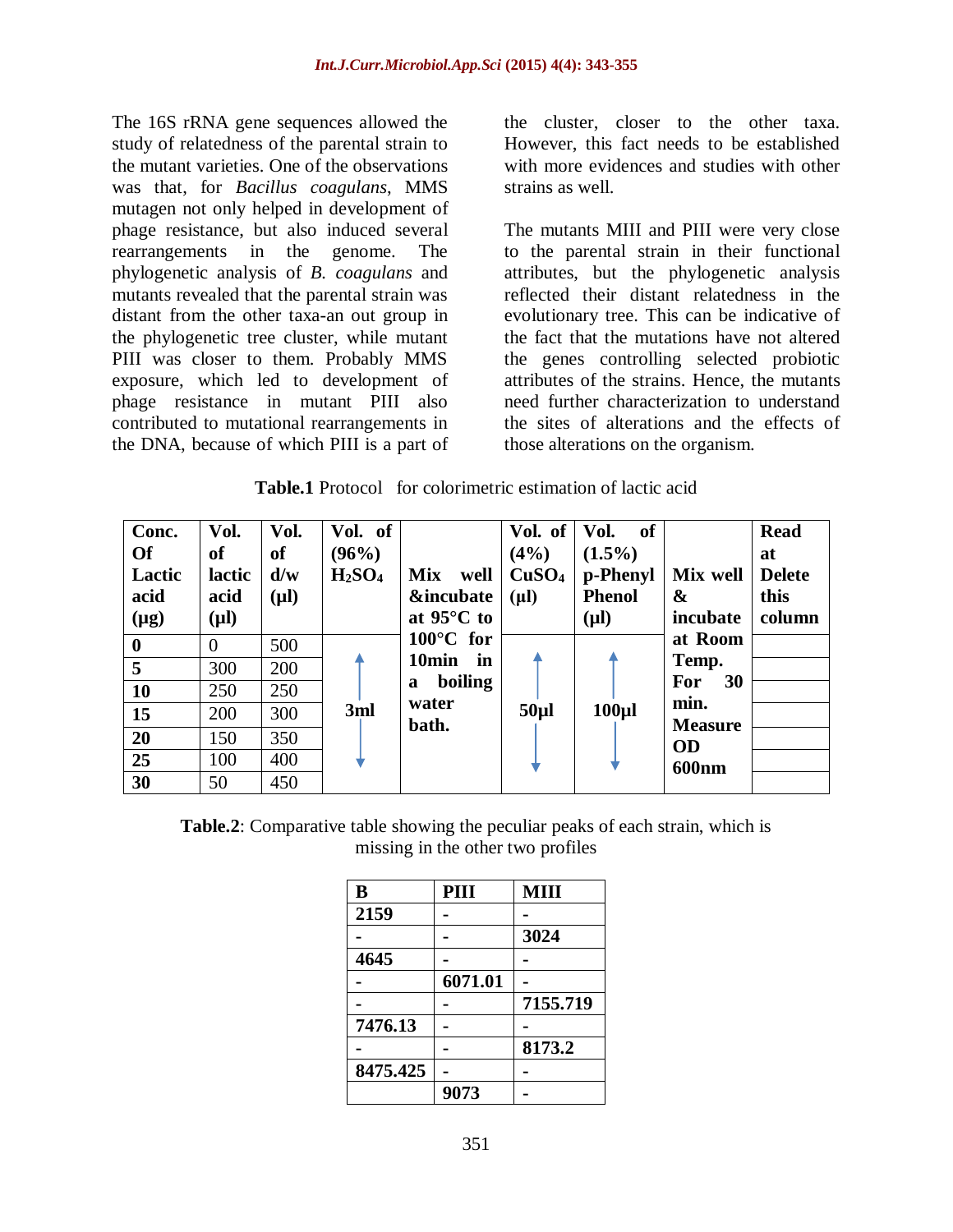The 16S rRNA gene sequences allowed the study of relatedness of the parental strain to the mutant varieties. One of the observations was that, for *Bacillus coagulans*, MMS mutagen not only helped in development of phage resistance, but also induced several rearrangements in the genome. The phylogenetic analysis of *B. coagulans* and mutants revealed that the parental strain was distant from the other taxa-an out group in the phylogenetic tree cluster, while mutant PIII was closer to them. Probably MMS exposure, which led to development of phage resistance in mutant PIII also contributed to mutational rearrangements in the DNA, because of which PIII is a part of the cluster, closer to the other taxa. However, this fact needs to be established with more evidences and studies with other strains as well.

The mutants MIII and PIII were very close to the parental strain in their functional attributes, but the phylogenetic analysis reflected their distant relatedness in the evolutionary tree. This can be indicative of the fact that the mutations have not altered the genes controlling selected probiotic attributes of the strains. Hence, the mutants need further characterization to understand the sites of alterations and the effects of those alterations on the organism.

|  | <b>Table.1</b> Protocol for colorimetric estimation of lactic acid |
|--|--------------------------------------------------------------------|
|--|--------------------------------------------------------------------|

| Conc.<br><b>Of</b><br>Lactic<br>acid<br>$(\mu g)$ | Vol.<br><b>of</b><br>lactic<br>acid<br>$(\mu l)$ | Vol.<br><sub>of</sub><br>d/w<br>$(\mu l)$ | Vol. of<br>(96%)<br>H <sub>2</sub> SO <sub>4</sub> | <b>Mix</b><br>well<br><b>&amp;incubate</b><br>at $95^{\circ}$ C to | Vol. of<br>(4%)<br>CuSO <sub>4</sub><br>$(\mu l)$ | of<br>Vol.<br>$(1.5\%)$<br>p-Phenyl<br><b>Phenol</b><br>$(\mu l)$ | Mix well<br>&<br>incubate | <b>Read</b><br>at<br><b>Delete</b><br>this<br>column |
|---------------------------------------------------|--------------------------------------------------|-------------------------------------------|----------------------------------------------------|--------------------------------------------------------------------|---------------------------------------------------|-------------------------------------------------------------------|---------------------------|------------------------------------------------------|
| $\boldsymbol{0}$                                  | $\theta$                                         | 500                                       |                                                    | $100^{\circ}$ C for                                                |                                                   |                                                                   | at Room                   |                                                      |
| 5                                                 | 300                                              | 200                                       |                                                    | 10 <sub>min</sub><br>in                                            |                                                   |                                                                   | Temp.                     |                                                      |
| 10                                                | 250                                              | 250                                       |                                                    | boiling<br>a                                                       |                                                   |                                                                   | <b>For</b><br><b>30</b>   |                                                      |
| 15                                                | 200                                              | 300                                       | 3ml                                                | water<br>bath.                                                     | 50 <sub>µ</sub>                                   | 100 <sub>µ</sub>                                                  | min.<br><b>Measure</b>    |                                                      |
| 20                                                | 150                                              | 350                                       |                                                    |                                                                    |                                                   |                                                                   | <b>OD</b>                 |                                                      |
| 25                                                | 100                                              | 400                                       |                                                    |                                                                    |                                                   |                                                                   | <b>600nm</b>              |                                                      |
| 30                                                | 50                                               | 450                                       |                                                    |                                                                    |                                                   |                                                                   |                           |                                                      |

**Table.2**: Comparative table showing the peculiar peaks of each strain, which is missing in the other two profiles

| B        | PIII    | MIII     |
|----------|---------|----------|
| 2159     |         |          |
|          |         | 3024     |
| 4645     |         |          |
|          | 6071.01 |          |
|          |         | 7155.719 |
| 7476.13  |         |          |
|          |         | 8173.2   |
| 8475.425 |         |          |
|          | 9073    |          |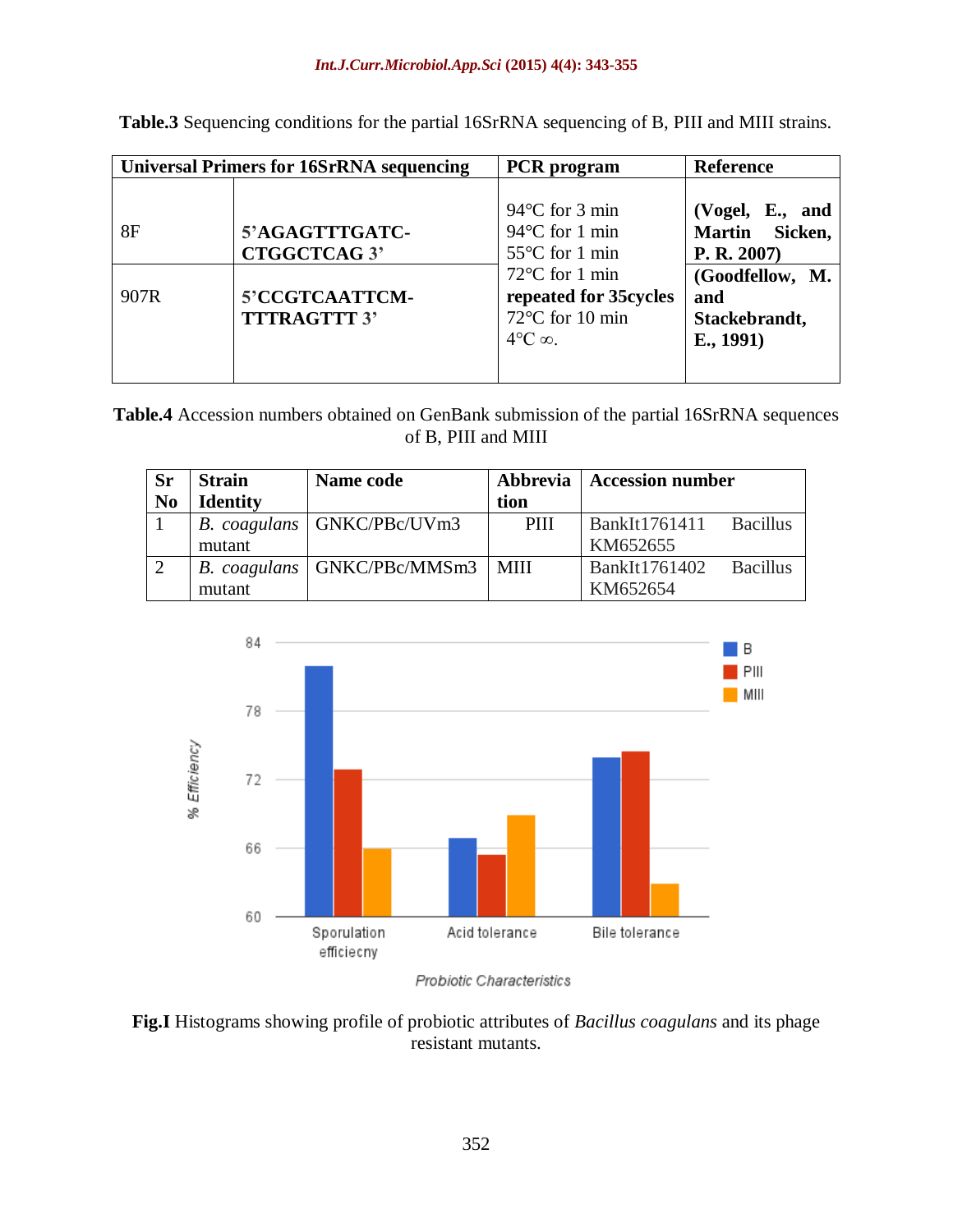|            | <b>Universal Primers for 16SrRNA sequencing</b>                                | <b>PCR</b> program                                                                                                                                                       | <b>Reference</b>                                                                                                      |  |
|------------|--------------------------------------------------------------------------------|--------------------------------------------------------------------------------------------------------------------------------------------------------------------------|-----------------------------------------------------------------------------------------------------------------------|--|
| 8F<br>907R | 5'AGAGTTTGATC-<br><b>CTGGCTCAG 3'</b><br>5'CCGTCAATTCM-<br><b>TTTRAGTTT 3'</b> | $94^{\circ}$ C for 3 min<br>94°C for 1 min<br>$55^{\circ}$ C for 1 min<br>$72^{\circ}$ C for 1 min<br>repeated for 35 cycles<br>72°C for 10 min<br>$4^{\circ}C \infty$ . | (Vogel, $E_{\cdot}$ ,<br>and<br>Martin Sicken,<br>P. R. 2007)<br>(Goodfellow, M.<br>and<br>Stackebrandt,<br>E., 1991) |  |
|            |                                                                                |                                                                                                                                                                          |                                                                                                                       |  |

**Table.3** Sequencing conditions for the partial 16SrRNA sequencing of B, PIII and MIII strains.

**Table.4** Accession numbers obtained on GenBank submission of the partial 16SrRNA sequences of B, PIII and MIII

| <b>Sr</b>      | <b>Strain</b>   | Name code                     |             | Abbrevia   Accession number |          |
|----------------|-----------------|-------------------------------|-------------|-----------------------------|----------|
| N <sub>0</sub> | <b>Identity</b> |                               | tion        |                             |          |
|                |                 | B. coagulans   GNKC/PBc/UVm3  | PIII        | BankIt1761411 Bacillus      |          |
|                | mutant          |                               |             | KM652655                    |          |
| $\sqrt{2}$     |                 | B. coagulans   GNKC/PBc/MMSm3 | <b>MIII</b> | BankIt1761402               | Bacillus |
|                | mutant          |                               |             | KM652654                    |          |



Probiotic Characteristics

**Fig.I** Histograms showing profile of probiotic attributes of *Bacillus coagulans* and its phage resistant mutants.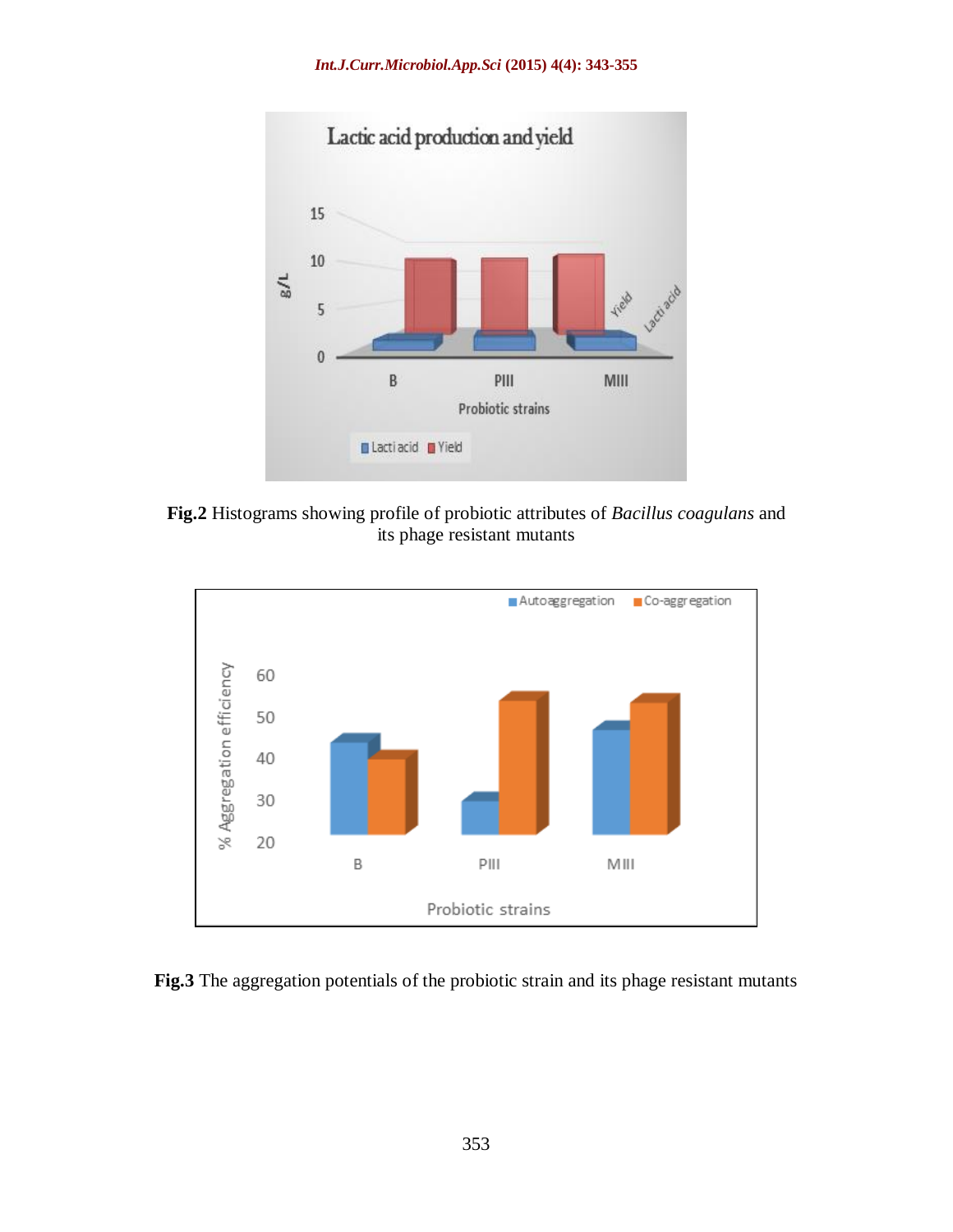

**Fig.2** Histograms showing profile of probiotic attributes of *Bacillus coagulans* and its phage resistant mutants



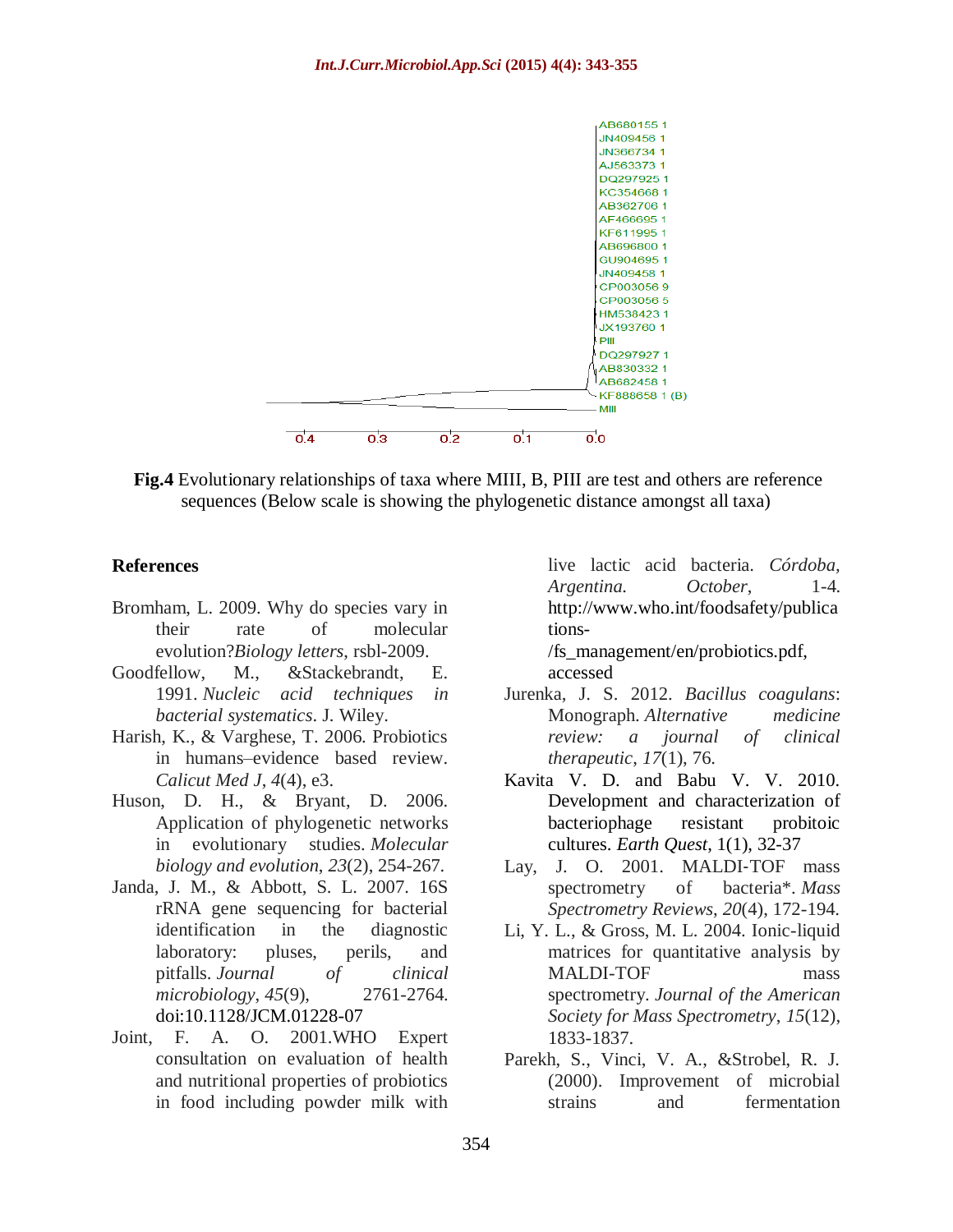

**Fig.4** Evolutionary relationships of taxa where MIII, B, PIII are test and others are reference sequences (Below scale is showing the phylogenetic distance amongst all taxa)

#### **References**

- Bromham, L. 2009. Why do species vary in their rate of molecular evolution?*Biology letters*, rsbl-2009.
- Goodfellow, M., &Stackebrandt, E. 1991. *Nucleic acid techniques in bacterial systematics*. J. Wiley.
- Harish, K., & Varghese, T. 2006. Probiotics in humans–evidence based review. *Calicut Med J*, *4*(4), e3.
- Huson, D. H., & Bryant, D. 2006. Application of phylogenetic networks in evolutionary studies. *Molecular biology and evolution*, *23*(2), 254-267.
- Janda, J. M., & Abbott, S. L. 2007. 16S rRNA gene sequencing for bacterial identification in the diagnostic laboratory: pluses, perils, and pitfalls. *Journal of clinical microbiology*, *45*(9), 2761-2764. doi:10.1128/JCM.01228-07
- Joint, F. A. O. 2001.WHO Expert consultation on evaluation of health and nutritional properties of probiotics in food including powder milk with

live lactic acid bacteria. *Córdoba, Argentina. October*, 1-4. http://www.who.int/foodsafety/publica tions-

/fs\_management/en/probiotics.pdf, accessed

- Jurenka, J. S. 2012. *Bacillus coagulans*: Monograph. *Alternative medicine review: a journal of clinical therapeutic*, *17*(1), 76.
- Kavita V. D. and Babu V. V. 2010. Development and characterization of bacteriophage resistant probitoic cultures. *Earth Quest*, 1(1), 32-37
- Lay, J. O. 2001. MALDI-TOF mass spectrometry of bacteria\*. *Mass Spectrometry Reviews*, *20*(4), 172-194.
- Li, Y. L., & Gross, M. L. 2004. Ionic-liquid matrices for quantitative analysis by MALDI-TOF mass spectrometry. *Journal of the American Society for Mass Spectrometry*, *15*(12), 1833-1837.
- Parekh, S., Vinci, V. A., &Strobel, R. J. (2000). Improvement of microbial strains and fermentation